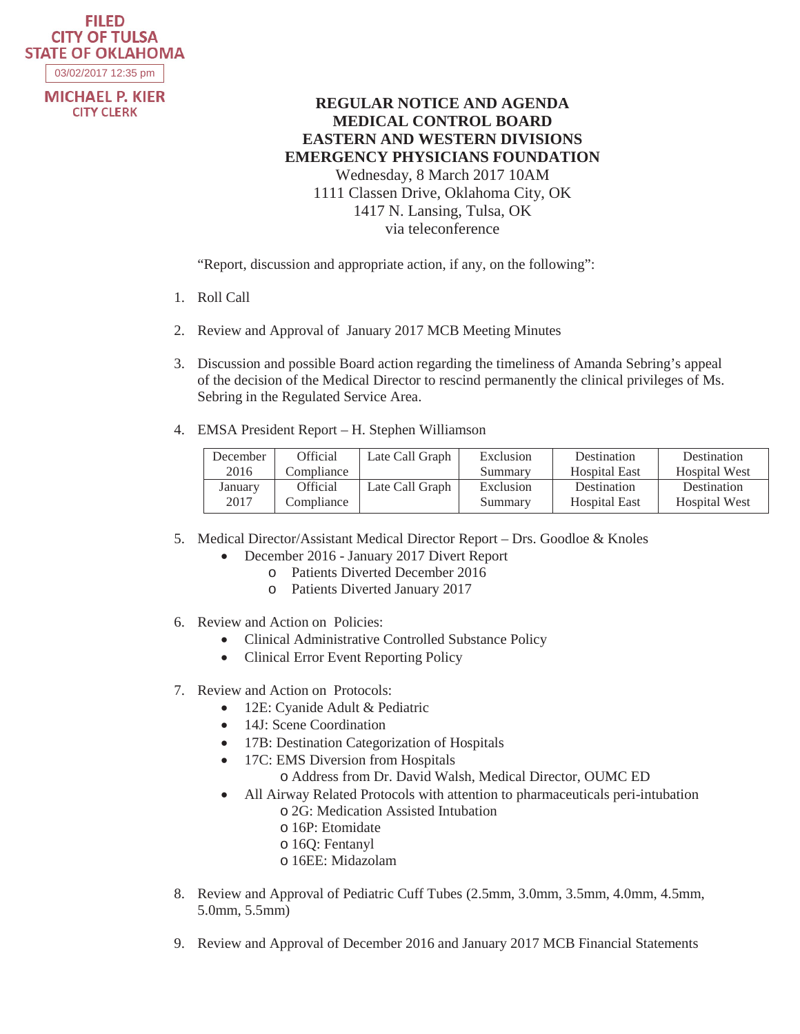## **FILED CITY OF TULSA STATE OF OKLAHOMA**

03/02/2017 12:35 pm

**MICHAEL P. KIER CITY CLERK** 

## **REGULAR NOTICE AND AGENDA MEDICAL CONTROL BOARD EASTERN AND WESTERN DIVISIONS EMERGENCY PHYSICIANS FOUNDATION**  Wednesday, 8 March 2017 10AM 1111 Classen Drive, Oklahoma City, OK 1417 N. Lansing, Tulsa, OK via teleconference

"Report, discussion and appropriate action, if any, on the following":

- 1. Roll Call
- 2. Review and Approval of January 2017 MCB Meeting Minutes
- 3. Discussion and possible Board action regarding the timeliness of Amanda Sebring's appeal of the decision of the Medical Director to rescind permanently the clinical privileges of Ms. Sebring in the Regulated Service Area.
- 4. EMSA President Report H. Stephen Williamson

| December | <b>Official</b> | Late Call Graph | Exclusion | Destination          | Destination          |
|----------|-----------------|-----------------|-----------|----------------------|----------------------|
| 2016     | Compliance      |                 | Summary   | <b>Hospital East</b> | <b>Hospital West</b> |
| January  | <b>Official</b> | Late Call Graph | Exclusion | Destination          | Destination          |
| 2017     | Compliance      |                 | Summary   | <b>Hospital East</b> | <b>Hospital West</b> |

- 5. Medical Director/Assistant Medical Director Report Drs. Goodloe & Knoles
	- December 2016 January 2017 Divert Report
		- o Patients Diverted December 2016
		- o Patients Diverted January 2017
- 6. Review and Action on Policies:
	- Clinical Administrative Controlled Substance Policy
	- Clinical Error Event Reporting Policy
- 7. Review and Action on Protocols:
	- 12E: Cyanide Adult & Pediatric
	- 14J: Scene Coordination
	- 17B: Destination Categorization of Hospitals
	- 17C: EMS Diversion from Hospitals
		- o Address from Dr. David Walsh, Medical Director, OUMC ED
	- All Airway Related Protocols with attention to pharmaceuticals peri-intubation o 2G: Medication Assisted Intubation
		- o 16P: Etomidate
		- o 16Q: Fentanyl
		- o 16EE: Midazolam
- 8. Review and Approval of Pediatric Cuff Tubes (2.5mm, 3.0mm, 3.5mm, 4.0mm, 4.5mm, 5.0mm, 5.5mm)
- 9. Review and Approval of December 2016 and January 2017 MCB Financial Statements